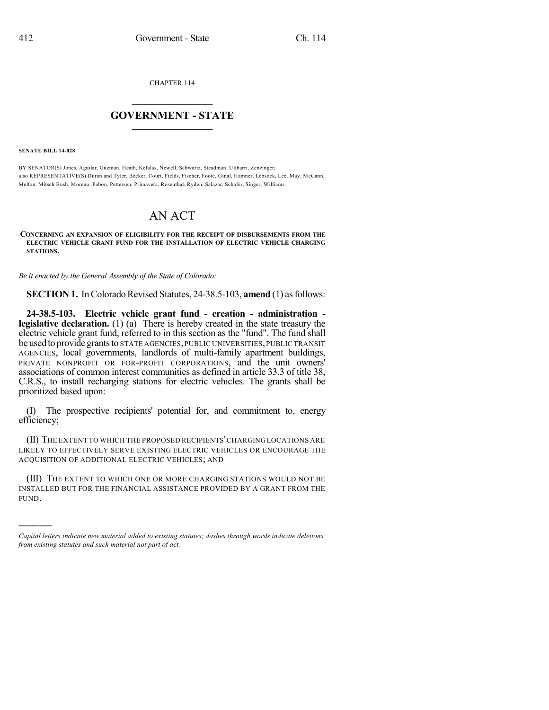CHAPTER 114

## $\mathcal{L}_\text{max}$  . The set of the set of the set of the set of the set of the set of the set of the set of the set of the set of the set of the set of the set of the set of the set of the set of the set of the set of the set **GOVERNMENT - STATE**  $\_$   $\_$

**SENATE BILL 14-028**

)))))

BY SENATOR(S) Jones, Aguilar, Guzman, Heath, Kefalas, Newell, Schwartz, Steadman, Ulibarri, Zenzinger; also REPRESENTATIVE(S) Duran and Tyler, Becker, Court, Fields, Fischer, Foote, Ginal, Hamner, Lebsock, Lee, May, McCann, Melton, Mitsch Bush, Moreno, Pabon, Pettersen, Primavera, Rosenthal, Ryden, Salazar, Schafer, Singer, Williams.

## AN ACT

**CONCERNING AN EXPANSION OF ELIGIBILITY FOR THE RECEIPT OF DISBURSEMENTS FROM THE ELECTRIC VEHICLE GRANT FUND FOR THE INSTALLATION OF ELECTRIC VEHICLE CHARGING STATIONS.**

*Be it enacted by the General Assembly of the State of Colorado:*

**SECTION 1.** In Colorado Revised Statutes, 24-38.5-103, **amend** (1) as follows:

**24-38.5-103. Electric vehicle grant fund - creation - administration legislative declaration.** (1) (a) There is hereby created in the state treasury the electric vehicle grant fund, referred to in this section as the "fund". The fund shall be used to provide grants to STATE AGENCIES, PUBLIC UNIVERSITIES, PUBLIC TRANSIT AGENCIES, local governments, landlords of multi-family apartment buildings, PRIVATE NONPROFIT OR FOR-PROFIT CORPORATIONS, and the unit owners' associations of common interest communities as defined in article 33.3 of title 38, C.R.S., to install recharging stations for electric vehicles. The grants shall be prioritized based upon:

(I) The prospective recipients' potential for, and commitment to, energy efficiency;

(II) THE EXTENT TO WHICH THE PROPOSED RECIPIENTS'CHARGINGLOCATIONS ARE LIKELY TO EFFECTIVELY SERVE EXISTING ELECTRIC VEHICLES OR ENCOURAGE THE ACQUISITION OF ADDITIONAL ELECTRIC VEHICLES; AND

(III) THE EXTENT TO WHICH ONE OR MORE CHARGING STATIONS WOULD NOT BE INSTALLED BUT FOR THE FINANCIAL ASSISTANCE PROVIDED BY A GRANT FROM THE FUND.

*Capital letters indicate new material added to existing statutes; dashes through words indicate deletions from existing statutes and such material not part of act.*